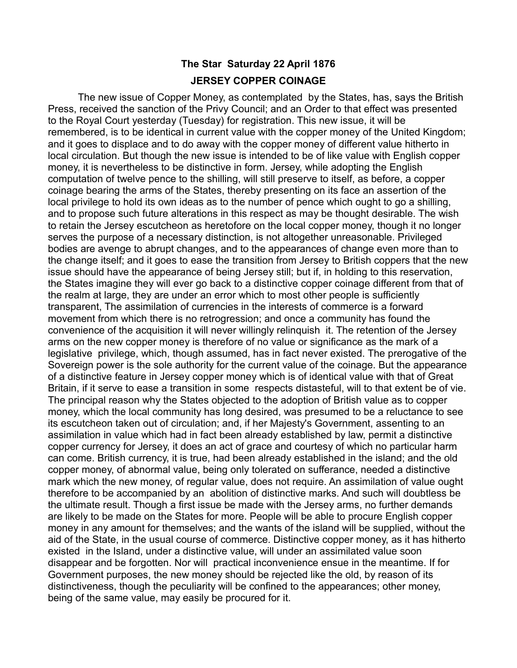## **The Star Saturday 22 April 1876 JERSEY COPPER COINAGE**

The new issue of Copper Money, as contemplated by the States, has, says the British Press, received the sanction of the Privy Council; and an Order to that effect was presented to the Royal Court yesterday (Tuesday) for registration. This new issue, it will be remembered, is to be identical in current value with the copper money of the United Kingdom; and it goes to displace and to do away with the copper money of different value hitherto in local circulation. But though the new issue is intended to be of like value with English copper money, it is nevertheless to be distinctive in form. Jersey, while adopting the English computation of twelve pence to the shilling, will still preserve to itself, as before, a copper coinage bearing the arms of the States, thereby presenting on its face an assertion of the local privilege to hold its own ideas as to the number of pence which ought to go a shilling, and to propose such future alterations in this respect as may be thought desirable. The wish to retain the Jersey escutcheon as heretofore on the local copper money, though it no longer serves the purpose of a necessary distinction, is not altogether unreasonable. Privileged bodies are avenge to abrupt changes, and to the appearances of change even more than to the change itself; and it goes to ease the transition from Jersey to British coppers that the new issue should have the appearance of being Jersey still; but if, in holding to this reservation, the States imagine they will ever go back to a distinctive copper coinage different from that of the realm at large, they are under an error which to most other people is sufficiently transparent, The assimilation of currencies in the interests of commerce is a forward movement from which there is no retrogression; and once a community has found the convenience of the acquisition it will never willingly relinquish it. The retention of the Jersey arms on the new copper money is therefore of no value or significance as the mark of a legislative privilege, which, though assumed, has in fact never existed. The prerogative of the Sovereign power is the sole authority for the current value of the coinage. But the appearance of a distinctive feature in Jersey copper money which is of identical value with that of Great Britain, if it serve to ease a transition in some respects distasteful, will to that extent be of vie. The principal reason why the States objected to the adoption of British value as to copper money, which the local community has long desired, was presumed to be a reluctance to see its escutcheon taken out of circulation; and, if her Majesty's Government, assenting to an assimilation in value which had in fact been already established by law, permit a distinctive copper currency for Jersey, it does an act of grace and courtesy of which no particular harm can come. British currency, it is true, had been already established in the island; and the old copper money, of abnormal value, being only tolerated on sufferance, needed a distinctive mark which the new money, of regular value, does not require. An assimilation of value ought therefore to be accompanied by an abolition of distinctive marks. And such will doubtless be the ultimate result. Though a first issue be made with the Jersey arms, no further demands are likely to be made on the States for more. People will be able to procure English copper money in any amount for themselves; and the wants of the island will be supplied, without the aid of the State, in the usual course of commerce. Distinctive copper money, as it has hitherto existed in the Island, under a distinctive value, will under an assimilated value soon disappear and be forgotten. Nor will practical inconvenience ensue in the meantime. If for Government purposes, the new money should be rejected like the old, by reason of its distinctiveness, though the peculiarity will be confined to the appearances; other money, being of the same value, may easily be procured for it.